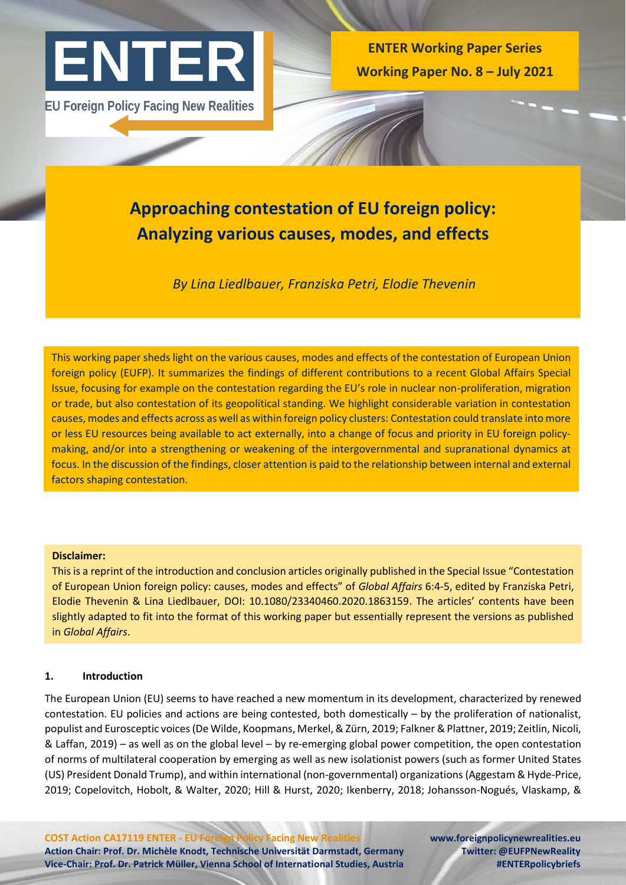

**EU Foreign Policy Facing New Realities** 

**ENTER Working Paper Series Working Paper No. 8 – July 2021**

# **Approaching contestation of EU foreign policy: Analyzing various causes, modes, and effects**

*By Lina Liedlbauer, Franziska Petri, Elodie Thevenin* 

This working paper sheds light on the various causes, modes and effects of the contestation of European Union foreign policy (EUFP). It summarizes the findings of different contributions to a recent Global Affairs Special Issue, focusing for example on the contestation regarding the EU's role in nuclear non-proliferation, migration or trade, but also contestation of its geopolitical standing. We highlight considerable variation in contestation causes, modes and effects across as well as within foreign policy clusters: Contestation could translate into more or less EU resources being available to act externally, into a change of focus and priority in EU foreign policymaking, and/or into a strengthening or weakening of the intergovernmental and supranational dynamics at focus. In the discussion of the findings, closer attention is paid to the relationship between internal and external factors shaping contestation.

# **Disclaimer:**

This is a reprint of the introduction and conclusion articles originally published in the Special Issue "Contestation of European Union foreign policy: causes, modes and effects" of *Global Affairs* 6:4-5, edited by Franziska Petri, Elodie Thevenin & Lina Liedlbauer, DOI: [10.1080/23340460.2020.1863159](https://www.tandfonline.com/doi/full/10.1080/23340460.2020.1863159). The articles' contents have been slightly adapted to fit into the format of this working paper but essentially represent the versions as published in *Global Affairs*.

# **1. Introduction**

The European Union (EU) seems to have reached a new momentum in its development, characterized by renewed contestation. EU policies and actions are being contested, both domestically – by the proliferation of nationalist, populist and Eurosceptic voices (De Wilde, Koopmans, Merkel, & Zürn, 2019; Falkner & Plattner, 2019; Zeitlin, Nicoli, & Laffan, 2019) – as well as on the global level – by re-emerging global power competition, the open contestation of norms of multilateral cooperation by emerging as well as new isolationist powers (such as former United States (US) President Donald Trump), and within international (non-governmental) organizations (Aggestam & Hyde-Price, 2019; Copelovitch, Hobolt, & Walter, 2020; Hill & Hurst, 2020; Ikenberry, 2018; Johansson-Nogués, Vlaskamp, &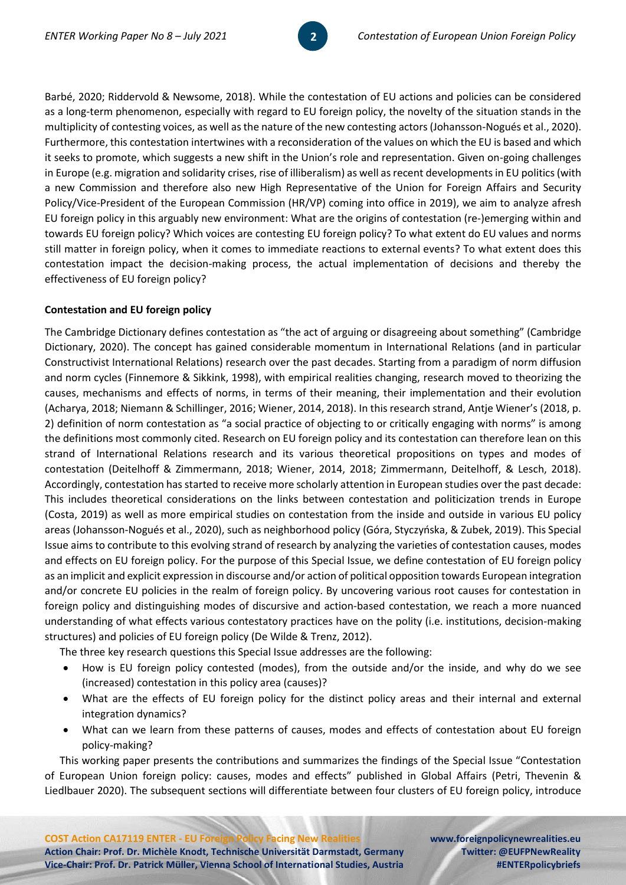Barbé, 2020; Riddervold & Newsome, 2018). While the contestation of EU actions and policies can be considered as a long-term phenomenon, especially with regard to EU foreign policy, the novelty of the situation stands in the multiplicity of contesting voices, as well as the nature of the new contesting actors (Johansson-Nogués et al., 2020). Furthermore, this contestation intertwines with a reconsideration of the values on which the EU is based and which it seeks to promote, which suggests a new shift in the Union's role and representation. Given on-going challenges in Europe (e.g. migration and solidarity crises, rise of illiberalism) as well as recent developments in EU politics (with a new Commission and therefore also new High Representative of the Union for Foreign Affairs and Security Policy/Vice-President of the European Commission (HR/VP) coming into office in 2019), we aim to analyze afresh EU foreign policy in this arguably new environment: What are the origins of contestation (re-)emerging within and towards EU foreign policy? Which voices are contesting EU foreign policy? To what extent do EU values and norms still matter in foreign policy, when it comes to immediate reactions to external events? To what extent does this contestation impact the decision-making process, the actual implementation of decisions and thereby the effectiveness of EU foreign policy?

**2** 

# **Contestation and EU foreign policy**

The Cambridge Dictionary defines contestation as "the act of arguing or disagreeing about something" (Cambridge Dictionary, 2020). The concept has gained considerable momentum in International Relations (and in particular Constructivist International Relations) research over the past decades. Starting from a paradigm of norm diffusion and norm cycles (Finnemore & Sikkink, 1998), with empirical realities changing, research moved to theorizing the causes, mechanisms and effects of norms, in terms of their meaning, their implementation and their evolution (Acharya, 2018; Niemann & Schillinger, 2016; Wiener, 2014, 2018). In this research strand, Antje Wiener's (2018, p. 2) definition of norm contestation as "a social practice of objecting to or critically engaging with norms" is among the definitions most commonly cited. Research on EU foreign policy and its contestation can therefore lean on this strand of International Relations research and its various theoretical propositions on types and modes of contestation (Deitelhoff & Zimmermann, 2018; Wiener, 2014, 2018; Zimmermann, Deitelhoff, & Lesch, 2018). Accordingly, contestation has started to receive more scholarly attention in European studies over the past decade: This includes theoretical considerations on the links between contestation and politicization trends in Europe (Costa, 2019) as well as more empirical studies on contestation from the inside and outside in various EU policy areas (Johansson-Nogués et al., 2020), such as neighborhood policy (Góra, Styczyńska, & Zubek, 2019). This Special Issue aims to contribute to this evolving strand of research by analyzing the varieties of contestation causes, modes and effects on EU foreign policy. For the purpose of this Special Issue, we define contestation of EU foreign policy as an implicit and explicit expression in discourse and/or action of political opposition towards European integration and/or concrete EU policies in the realm of foreign policy. By uncovering various root causes for contestation in foreign policy and distinguishing modes of discursive and action-based contestation, we reach a more nuanced understanding of what effects various contestatory practices have on the polity (i.e. institutions, decision-making structures) and policies of EU foreign policy (De Wilde & Trenz, 2012).

The three key research questions this Special Issue addresses are the following:

- How is EU foreign policy contested (modes), from the outside and/or the inside, and why do we see (increased) contestation in this policy area (causes)?
- What are the effects of EU foreign policy for the distinct policy areas and their internal and external integration dynamics?
- What can we learn from these patterns of causes, modes and effects of contestation about EU foreign policy-making?

This working paper presents the contributions and summarizes the findings of the Special Issue "Contestation of European Union foreign policy: causes, modes and effects" published in Global Affairs (Petri, Thevenin & Liedlbauer 2020). The subsequent sections will differentiate between four clusters of EU foreign policy, introduce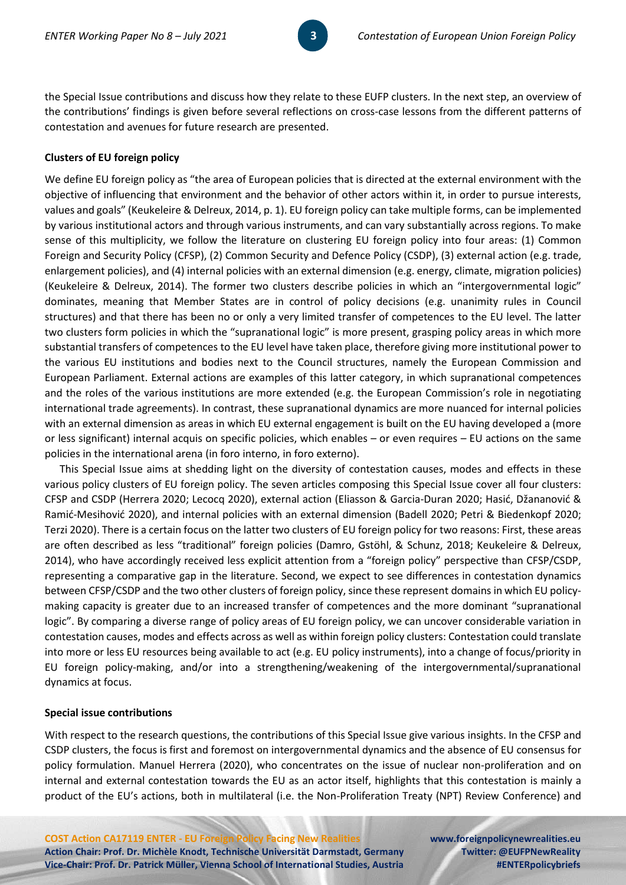the Special Issue contributions and discuss how they relate to these EUFP clusters. In the next step, an overview of the contributions' findings is given before several reflections on cross-case lessons from the different patterns of contestation and avenues for future research are presented.

## **Clusters of EU foreign policy**

We define EU foreign policy as "the area of European policies that is directed at the external environment with the objective of influencing that environment and the behavior of other actors within it, in order to pursue interests, values and goals" (Keukeleire & Delreux, 2014, p. 1). EU foreign policy can take multiple forms, can be implemented by various institutional actors and through various instruments, and can vary substantially across regions. To make sense of this multiplicity, we follow the literature on clustering EU foreign policy into four areas: (1) Common Foreign and Security Policy (CFSP), (2) Common Security and Defence Policy (CSDP), (3) external action (e.g. trade, enlargement policies), and (4) internal policies with an external dimension (e.g. energy, climate, migration policies) (Keukeleire & Delreux, 2014). The former two clusters describe policies in which an "intergovernmental logic" dominates, meaning that Member States are in control of policy decisions (e.g. unanimity rules in Council structures) and that there has been no or only a very limited transfer of competences to the EU level. The latter two clusters form policies in which the "supranational logic" is more present, grasping policy areas in which more substantial transfers of competences to the EU level have taken place, therefore giving more institutional power to the various EU institutions and bodies next to the Council structures, namely the European Commission and European Parliament. External actions are examples of this latter category, in which supranational competences and the roles of the various institutions are more extended (e.g. the European Commission's role in negotiating international trade agreements). In contrast, these supranational dynamics are more nuanced for internal policies with an external dimension as areas in which EU external engagement is built on the EU having developed a (more or less significant) internal acquis on specific policies, which enables – or even requires – EU actions on the same policies in the international arena (in foro interno, in foro externo).

This Special Issue aims at shedding light on the diversity of contestation causes, modes and effects in these various policy clusters of EU foreign policy. The seven articles composing this Special Issue cover all four clusters: CFSP and CSDP (Herrera 2020; Lecocq 2020), external action (Eliasson & Garcia-Duran 2020; Hasić, Džananović & Ramić-Mesihović 2020), and internal policies with an external dimension (Badell 2020; Petri & Biedenkopf 2020; Terzi 2020). There is a certain focus on the latter two clusters of EU foreign policy for two reasons: First, these areas are often described as less "traditional" foreign policies (Damro, Gstöhl, & Schunz, 2018; Keukeleire & Delreux, 2014), who have accordingly received less explicit attention from a "foreign policy" perspective than CFSP/CSDP, representing a comparative gap in the literature. Second, we expect to see differences in contestation dynamics between CFSP/CSDP and the two other clusters of foreign policy, since these represent domains in which EU policymaking capacity is greater due to an increased transfer of competences and the more dominant "supranational logic". By comparing a diverse range of policy areas of EU foreign policy, we can uncover considerable variation in contestation causes, modes and effects across as well as within foreign policy clusters: Contestation could translate into more or less EU resources being available to act (e.g. EU policy instruments), into a change of focus/priority in EU foreign policy-making, and/or into a strengthening/weakening of the intergovernmental/supranational dynamics at focus.

## **Special issue contributions**

With respect to the research questions, the contributions of this Special Issue give various insights. In the CFSP and CSDP clusters, the focus is first and foremost on intergovernmental dynamics and the absence of EU consensus for policy formulation. Manuel Herrera (2020), who concentrates on the issue of nuclear non-proliferation and on internal and external contestation towards the EU as an actor itself, highlights that this contestation is mainly a product of the EU's actions, both in multilateral (i.e. the Non-Proliferation Treaty (NPT) Review Conference) and

**COST Action CA17119 ENTER - EU Foreign Policy Facing New Realities [www.foreignpolicynewrealities.eu](http://www.foreignpolicynewrealities.eu/) Action Chair: Prof. Dr. Michèle Knodt, Technische Universität Darmstadt, Germany Twitter: @EUFPNewReality Vice-Chair: Prof. Dr. Patrick Müller, Vienna School of International Studies, Austria #ENTERpolicybriefs**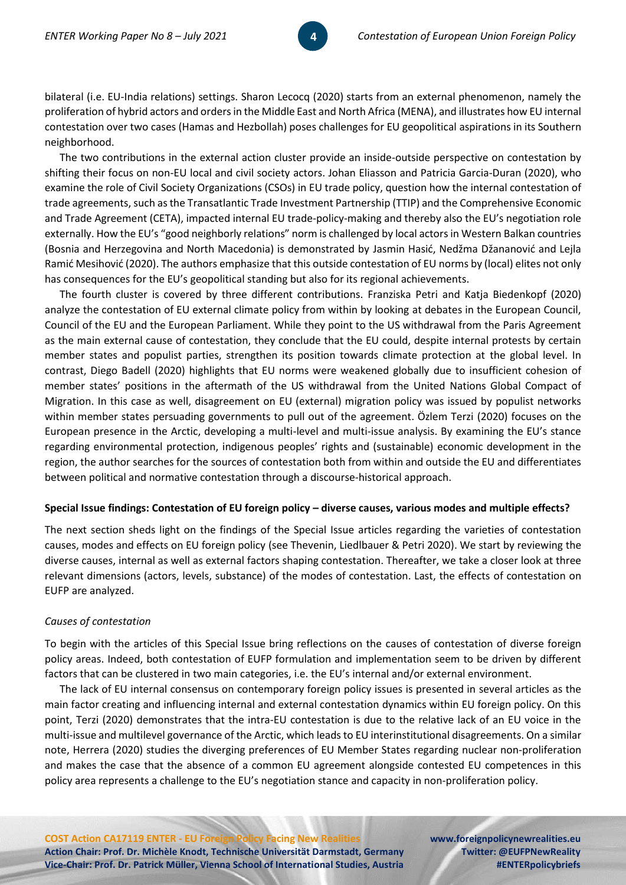bilateral (i.e. EU-India relations) settings. Sharon Lecocq (2020) starts from an external phenomenon, namely the proliferation of hybrid actors and orders in the Middle East and North Africa (MENA), and illustrates how EU internal contestation over two cases (Hamas and Hezbollah) poses challenges for EU geopolitical aspirations in its Southern neighborhood.

The two contributions in the external action cluster provide an inside-outside perspective on contestation by shifting their focus on non-EU local and civil society actors. Johan Eliasson and Patricia Garcia-Duran (2020), who examine the role of Civil Society Organizations (CSOs) in EU trade policy, question how the internal contestation of trade agreements, such as the Transatlantic Trade Investment Partnership (TTIP) and the Comprehensive Economic and Trade Agreement (CETA), impacted internal EU trade-policy-making and thereby also the EU's negotiation role externally. How the EU's "good neighborly relations" norm is challenged by local actors in Western Balkan countries (Bosnia and Herzegovina and North Macedonia) is demonstrated by Jasmin Hasić, Nedžma Džananović and Lejla Ramić Mesihović (2020). The authors emphasize that this outside contestation of EU norms by (local) elites not only has consequences for the EU's geopolitical standing but also for its regional achievements.

The fourth cluster is covered by three different contributions. Franziska Petri and Katja Biedenkopf (2020) analyze the contestation of EU external climate policy from within by looking at debates in the European Council, Council of the EU and the European Parliament. While they point to the US withdrawal from the Paris Agreement as the main external cause of contestation, they conclude that the EU could, despite internal protests by certain member states and populist parties, strengthen its position towards climate protection at the global level. In contrast, Diego Badell (2020) highlights that EU norms were weakened globally due to insufficient cohesion of member states' positions in the aftermath of the US withdrawal from the United Nations Global Compact of Migration. In this case as well, disagreement on EU (external) migration policy was issued by populist networks within member states persuading governments to pull out of the agreement. Özlem Terzi (2020) focuses on the European presence in the Arctic, developing a multi-level and multi-issue analysis. By examining the EU's stance regarding environmental protection, indigenous peoples' rights and (sustainable) economic development in the region, the author searches for the sources of contestation both from within and outside the EU and differentiates between political and normative contestation through a discourse-historical approach.

## **Special Issue findings: Contestation of EU foreign policy – diverse causes, various modes and multiple effects?**

The next section sheds light on the findings of the Special Issue articles regarding the varieties of contestation causes, modes and effects on EU foreign policy (see Thevenin, Liedlbauer & Petri 2020). We start by reviewing the diverse causes, internal as well as external factors shaping contestation. Thereafter, we take a closer look at three relevant dimensions (actors, levels, substance) of the modes of contestation. Last, the effects of contestation on EUFP are analyzed.

# *Causes of contestation*

To begin with the articles of this Special Issue bring reflections on the causes of contestation of diverse foreign policy areas. Indeed, both contestation of EUFP formulation and implementation seem to be driven by different factors that can be clustered in two main categories, i.e. the EU's internal and/or external environment.

The lack of EU internal consensus on contemporary foreign policy issues is presented in several articles as the main factor creating and influencing internal and external contestation dynamics within EU foreign policy. On this point, Terzi (2020) demonstrates that the intra-EU contestation is due to the relative lack of an EU voice in the multi-issue and multilevel governance of the Arctic, which leads to EU interinstitutional disagreements. On a similar note, Herrera (2020) studies the diverging preferences of EU Member States regarding nuclear non-proliferation and makes the case that the absence of a common EU agreement alongside contested EU competences in this policy area represents a challenge to the EU's negotiation stance and capacity in non-proliferation policy.

**COST Action CA17119 ENTER - EU Foreign Policy Facing New Realities [www.foreignpolicynewrealities.eu](http://www.foreignpolicynewrealities.eu/) Action Chair: Prof. Dr. Michèle Knodt, Technische Universität Darmstadt, Germany Twitter: @EUFPNewReality Vice-Chair: Prof. Dr. Patrick Müller, Vienna School of International Studies, Austria #ENTERpolicybriefs**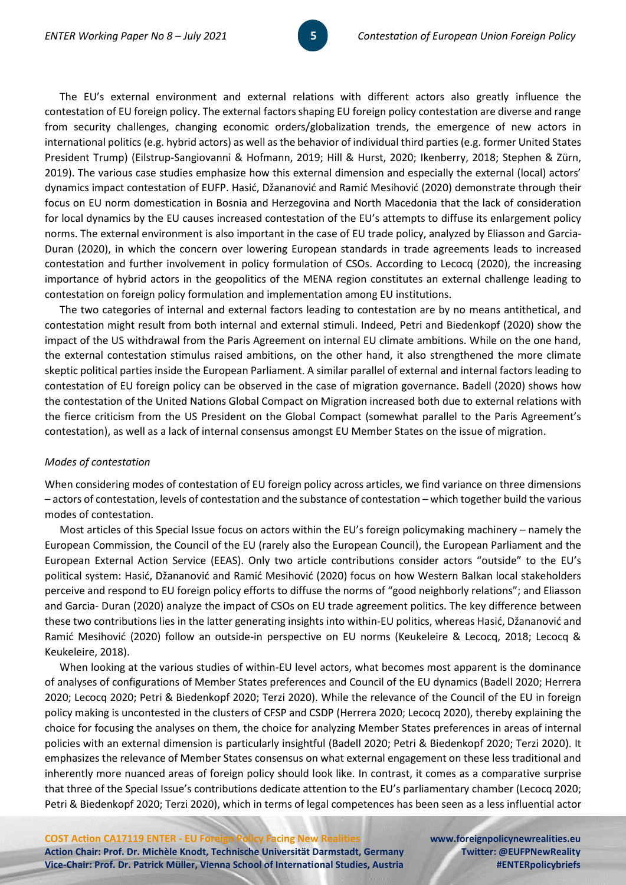The EU's external environment and external relations with different actors also greatly influence the contestation of EU foreign policy. The external factors shaping EU foreign policy contestation are diverse and range from security challenges, changing economic orders/globalization trends, the emergence of new actors in international politics (e.g. hybrid actors) as well as the behavior of individual third parties (e.g. former United States President Trump) (Eilstrup-Sangiovanni & Hofmann, 2019; Hill & Hurst, 2020; Ikenberry, 2018; Stephen & Zürn, 2019). The various case studies emphasize how this external dimension and especially the external (local) actors' dynamics impact contestation of EUFP. Hasić, Džananović and Ramić Mesihović (2020) demonstrate through their focus on EU norm domestication in Bosnia and Herzegovina and North Macedonia that the lack of consideration for local dynamics by the EU causes increased contestation of the EU's attempts to diffuse its enlargement policy norms. The external environment is also important in the case of EU trade policy, analyzed by Eliasson and Garcia-Duran (2020), in which the concern over lowering European standards in trade agreements leads to increased contestation and further involvement in policy formulation of CSOs. According to Lecocq (2020), the increasing importance of hybrid actors in the geopolitics of the MENA region constitutes an external challenge leading to contestation on foreign policy formulation and implementation among EU institutions.

**55** 

The two categories of internal and external factors leading to contestation are by no means antithetical, and contestation might result from both internal and external stimuli. Indeed, Petri and Biedenkopf (2020) show the impact of the US withdrawal from the Paris Agreement on internal EU climate ambitions. While on the one hand, the external contestation stimulus raised ambitions, on the other hand, it also strengthened the more climate skeptic political parties inside the European Parliament. A similar parallel of external and internal factors leading to contestation of EU foreign policy can be observed in the case of migration governance. Badell (2020) shows how the contestation of the United Nations Global Compact on Migration increased both due to external relations with the fierce criticism from the US President on the Global Compact (somewhat parallel to the Paris Agreement's contestation), as well as a lack of internal consensus amongst EU Member States on the issue of migration.

#### *Modes of contestation*

When considering modes of contestation of EU foreign policy across articles, we find variance on three dimensions – actors of contestation, levels of contestation and the substance of contestation – which together build the various modes of contestation.

Most articles of this Special Issue focus on actors within the EU's foreign policymaking machinery – namely the European Commission, the Council of the EU (rarely also the European Council), the European Parliament and the European External Action Service (EEAS). Only two article contributions consider actors "outside" to the EU's political system: Hasić, Džananović and Ramić Mesihović (2020) focus on how Western Balkan local stakeholders perceive and respond to EU foreign policy efforts to diffuse the norms of "good neighborly relations"; and Eliasson and Garcia- Duran (2020) analyze the impact of CSOs on EU trade agreement politics. The key difference between these two contributions lies in the latter generating insights into within-EU politics, whereas Hasić, Džananović and Ramić Mesihović (2020) follow an outside-in perspective on EU norms (Keukeleire & Lecocq, 2018; Lecocq & Keukeleire, 2018).

When looking at the various studies of within-EU level actors, what becomes most apparent is the dominance of analyses of configurations of Member States preferences and Council of the EU dynamics (Badell 2020; Herrera 2020; Lecocq 2020; Petri & Biedenkopf 2020; Terzi 2020). While the relevance of the Council of the EU in foreign policy making is uncontested in the clusters of CFSP and CSDP (Herrera 2020; Lecocq 2020), thereby explaining the choice for focusing the analyses on them, the choice for analyzing Member States preferences in areas of internal policies with an external dimension is particularly insightful (Badell 2020; Petri & Biedenkopf 2020; Terzi 2020). It emphasizes the relevance of Member States consensus on what external engagement on these less traditional and inherently more nuanced areas of foreign policy should look like. In contrast, it comes as a comparative surprise that three of the Special Issue's contributions dedicate attention to the EU's parliamentary chamber (Lecocq 2020; Petri & Biedenkopf 2020; Terzi 2020), which in terms of legal competences has been seen as a less influential actor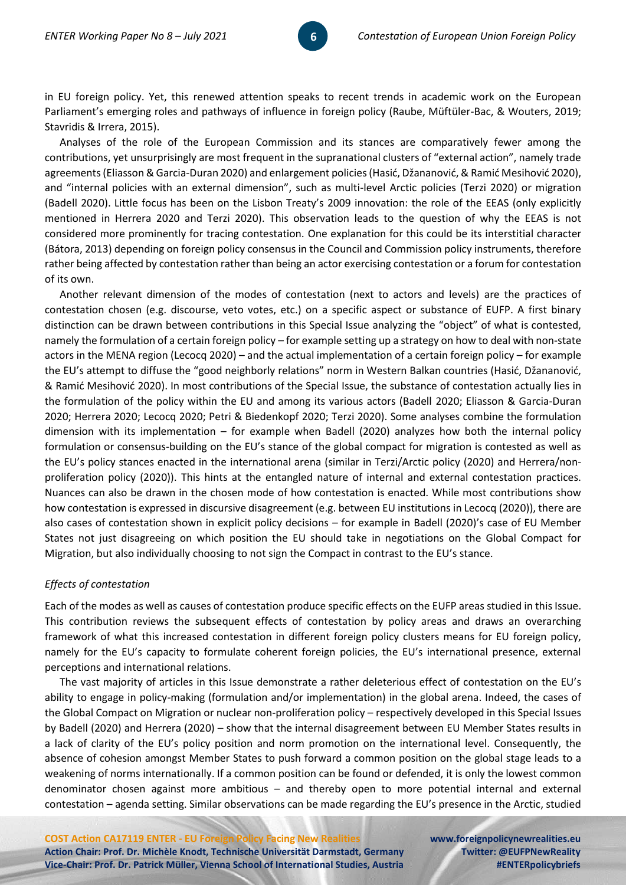in EU foreign policy. Yet, this renewed attention speaks to recent trends in academic work on the European Parliament's emerging roles and pathways of influence in foreign policy (Raube, Müftüler-Bac, & Wouters, 2019; Stavridis & Irrera, 2015).

Analyses of the role of the European Commission and its stances are comparatively fewer among the contributions, yet unsurprisingly are most frequent in the supranational clusters of "external action", namely trade agreements (Eliasson & Garcia-Duran 2020) and enlargement policies (Hasić, Džananović, & Ramić Mesihović 2020), and "internal policies with an external dimension", such as multi-level Arctic policies (Terzi 2020) or migration (Badell 2020). Little focus has been on the Lisbon Treaty's 2009 innovation: the role of the EEAS (only explicitly mentioned in Herrera 2020 and Terzi 2020). This observation leads to the question of why the EEAS is not considered more prominently for tracing contestation. One explanation for this could be its interstitial character (Bátora, 2013) depending on foreign policy consensus in the Council and Commission policy instruments, therefore rather being affected by contestation rather than being an actor exercising contestation or a forum for contestation of its own.

Another relevant dimension of the modes of contestation (next to actors and levels) are the practices of contestation chosen (e.g. discourse, veto votes, etc.) on a specific aspect or substance of EUFP. A first binary distinction can be drawn between contributions in this Special Issue analyzing the "object" of what is contested, namely the formulation of a certain foreign policy – for example setting up a strategy on how to deal with non-state actors in the MENA region (Lecocq 2020) – and the actual implementation of a certain foreign policy – for example the EU's attempt to diffuse the "good neighborly relations" norm in Western Balkan countries (Hasić, Džananović, & Ramić Mesihović 2020). In most contributions of the Special Issue, the substance of contestation actually lies in the formulation of the policy within the EU and among its various actors (Badell 2020; Eliasson & Garcia-Duran 2020; Herrera 2020; Lecocq 2020; Petri & Biedenkopf 2020; Terzi 2020). Some analyses combine the formulation dimension with its implementation – for example when Badell (2020) analyzes how both the internal policy formulation or consensus-building on the EU's stance of the global compact for migration is contested as well as the EU's policy stances enacted in the international arena (similar in Terzi/Arctic policy (2020) and Herrera/nonproliferation policy (2020)). This hints at the entangled nature of internal and external contestation practices. Nuances can also be drawn in the chosen mode of how contestation is enacted. While most contributions show how contestation is expressed in discursive disagreement (e.g. between EU institutions in Lecocq (2020)), there are also cases of contestation shown in explicit policy decisions – for example in Badell (2020)'s case of EU Member States not just disagreeing on which position the EU should take in negotiations on the Global Compact for Migration, but also individually choosing to not sign the Compact in contrast to the EU's stance.

## *Effects of contestation*

Each of the modes as well as causes of contestation produce specific effects on the EUFP areas studied in this Issue. This contribution reviews the subsequent effects of contestation by policy areas and draws an overarching framework of what this increased contestation in different foreign policy clusters means for EU foreign policy, namely for the EU's capacity to formulate coherent foreign policies, the EU's international presence, external perceptions and international relations.

The vast majority of articles in this Issue demonstrate a rather deleterious effect of contestation on the EU's ability to engage in policy-making (formulation and/or implementation) in the global arena. Indeed, the cases of the Global Compact on Migration or nuclear non-proliferation policy – respectively developed in this Special Issues by Badell (2020) and Herrera (2020) – show that the internal disagreement between EU Member States results in a lack of clarity of the EU's policy position and norm promotion on the international level. Consequently, the absence of cohesion amongst Member States to push forward a common position on the global stage leads to a weakening of norms internationally. If a common position can be found or defended, it is only the lowest common denominator chosen against more ambitious – and thereby open to more potential internal and external contestation – agenda setting. Similar observations can be made regarding the EU's presence in the Arctic, studied

**COST Action CA17119 ENTER - EU Foreign Policy Facing New Realities [www.foreignpolicynewrealities.eu](http://www.foreignpolicynewrealities.eu/) Action Chair: Prof. Dr. Michèle Knodt, Technische Universität Darmstadt, Germany Twitter: @EUFPNewReality Vice-Chair: Prof. Dr. Patrick Müller, Vienna School of International Studies, Austria #ENTERpolicybriefs**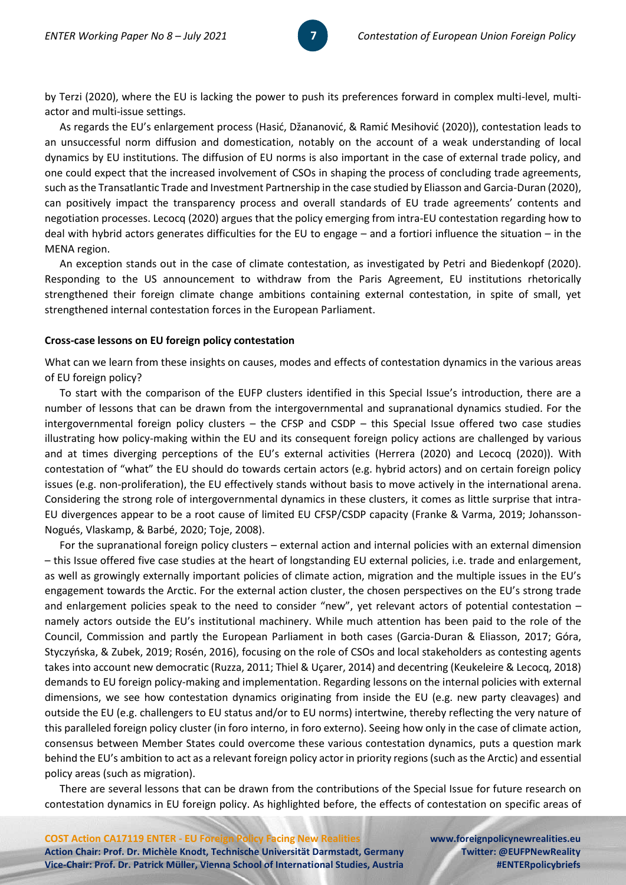by Terzi (2020), where the EU is lacking the power to push its preferences forward in complex multi-level, multiactor and multi-issue settings.

**77** 

As regards the EU's enlargement process (Hasić, Džananović, & Ramić Mesihović (2020)), contestation leads to an unsuccessful norm diffusion and domestication, notably on the account of a weak understanding of local dynamics by EU institutions. The diffusion of EU norms is also important in the case of external trade policy, and one could expect that the increased involvement of CSOs in shaping the process of concluding trade agreements, such as the Transatlantic Trade and Investment Partnership in the case studied by Eliasson and Garcia-Duran (2020), can positively impact the transparency process and overall standards of EU trade agreements' contents and negotiation processes. Lecocq (2020) argues that the policy emerging from intra-EU contestation regarding how to deal with hybrid actors generates difficulties for the EU to engage – and a fortiori influence the situation – in the MENA region.

An exception stands out in the case of climate contestation, as investigated by Petri and Biedenkopf (2020). Responding to the US announcement to withdraw from the Paris Agreement, EU institutions rhetorically strengthened their foreign climate change ambitions containing external contestation, in spite of small, yet strengthened internal contestation forces in the European Parliament.

## **Cross-case lessons on EU foreign policy contestation**

What can we learn from these insights on causes, modes and effects of contestation dynamics in the various areas of EU foreign policy?

To start with the comparison of the EUFP clusters identified in this Special Issue's introduction, there are a number of lessons that can be drawn from the intergovernmental and supranational dynamics studied. For the intergovernmental foreign policy clusters – the CFSP and CSDP – this Special Issue offered two case studies illustrating how policy-making within the EU and its consequent foreign policy actions are challenged by various and at times diverging perceptions of the EU's external activities (Herrera (2020) and Lecocq (2020)). With contestation of "what" the EU should do towards certain actors (e.g. hybrid actors) and on certain foreign policy issues (e.g. non-proliferation), the EU effectively stands without basis to move actively in the international arena. Considering the strong role of intergovernmental dynamics in these clusters, it comes as little surprise that intra-EU divergences appear to be a root cause of limited EU CFSP/CSDP capacity (Franke & Varma, 2019; Johansson-Nogués, Vlaskamp, & Barbé, 2020; Toje, 2008).

For the supranational foreign policy clusters – external action and internal policies with an external dimension – this Issue offered five case studies at the heart of longstanding EU external policies, i.e. trade and enlargement, as well as growingly externally important policies of climate action, migration and the multiple issues in the EU's engagement towards the Arctic. For the external action cluster, the chosen perspectives on the EU's strong trade and enlargement policies speak to the need to consider "new", yet relevant actors of potential contestation – namely actors outside the EU's institutional machinery. While much attention has been paid to the role of the Council, Commission and partly the European Parliament in both cases (Garcia-Duran & Eliasson, 2017; Góra, Styczyńska, & Zubek, 2019; Rosén, 2016), focusing on the role of CSOs and local stakeholders as contesting agents takes into account new democratic (Ruzza, 2011; Thiel & Uçarer, 2014) and decentring (Keukeleire & Lecocq, 2018) demands to EU foreign policy-making and implementation. Regarding lessons on the internal policies with external dimensions, we see how contestation dynamics originating from inside the EU (e.g. new party cleavages) and outside the EU (e.g. challengers to EU status and/or to EU norms) intertwine, thereby reflecting the very nature of this paralleled foreign policy cluster (in foro interno, in foro externo). Seeing how only in the case of climate action, consensus between Member States could overcome these various contestation dynamics, puts a question mark behind the EU's ambition to act as a relevant foreign policy actor in priority regions (such as the Arctic) and essential policy areas (such as migration).

There are several lessons that can be drawn from the contributions of the Special Issue for future research on contestation dynamics in EU foreign policy. As highlighted before, the effects of contestation on specific areas of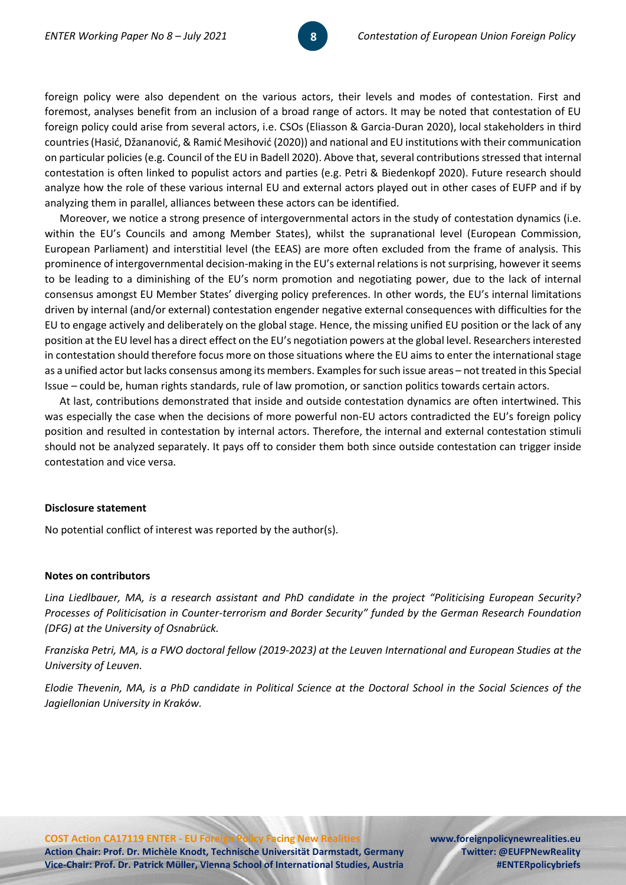foreign policy were also dependent on the various actors, their levels and modes of contestation. First and foremost, analyses benefit from an inclusion of a broad range of actors. It may be noted that contestation of EU foreign policy could arise from several actors, i.e. CSOs (Eliasson & Garcia-Duran 2020), local stakeholders in third countries (Hasić, Džananović, & Ramić Mesihović (2020)) and national and EU institutions with their communication on particular policies (e.g. Council of the EU in Badell 2020). Above that, several contributions stressed that internal contestation is often linked to populist actors and parties (e.g. Petri & Biedenkopf 2020). Future research should analyze how the role of these various internal EU and external actors played out in other cases of EUFP and if by analyzing them in parallel, alliances between these actors can be identified.

Moreover, we notice a strong presence of intergovernmental actors in the study of contestation dynamics (i.e. within the EU's Councils and among Member States), whilst the supranational level (European Commission, European Parliament) and interstitial level (the EEAS) are more often excluded from the frame of analysis. This prominence of intergovernmental decision-making in the EU's external relations is not surprising, however it seems to be leading to a diminishing of the EU's norm promotion and negotiating power, due to the lack of internal consensus amongst EU Member States' diverging policy preferences. In other words, the EU's internal limitations driven by internal (and/or external) contestation engender negative external consequences with difficulties for the EU to engage actively and deliberately on the global stage. Hence, the missing unified EU position or the lack of any position at the EU level has a direct effect on the EU's negotiation powers at the global level. Researchers interested in contestation should therefore focus more on those situations where the EU aims to enter the international stage as a unified actor but lacks consensus among its members. Examples for such issue areas – not treated in this Special Issue – could be, human rights standards, rule of law promotion, or sanction politics towards certain actors.

At last, contributions demonstrated that inside and outside contestation dynamics are often intertwined. This was especially the case when the decisions of more powerful non-EU actors contradicted the EU's foreign policy position and resulted in contestation by internal actors. Therefore, the internal and external contestation stimuli should not be analyzed separately. It pays off to consider them both since outside contestation can trigger inside contestation and vice versa.

## **Disclosure statement**

No potential conflict of interest was reported by the author(s).

#### **Notes on contributors**

*Lina Liedlbauer, MA, is a research assistant and PhD candidate in the project "Politicising European Security? Processes of Politicisation in Counter-terrorism and Border Security" funded by the German Research Foundation (DFG) at the University of Osnabrück.* 

*Franziska Petri, MA, is a FWO doctoral fellow (2019-2023) at the Leuven International and European Studies at the University of Leuven.* 

*Elodie Thevenin, MA, is a PhD candidate in Political Science at the Doctoral School in the Social Sciences of the Jagiellonian University in Kraków.*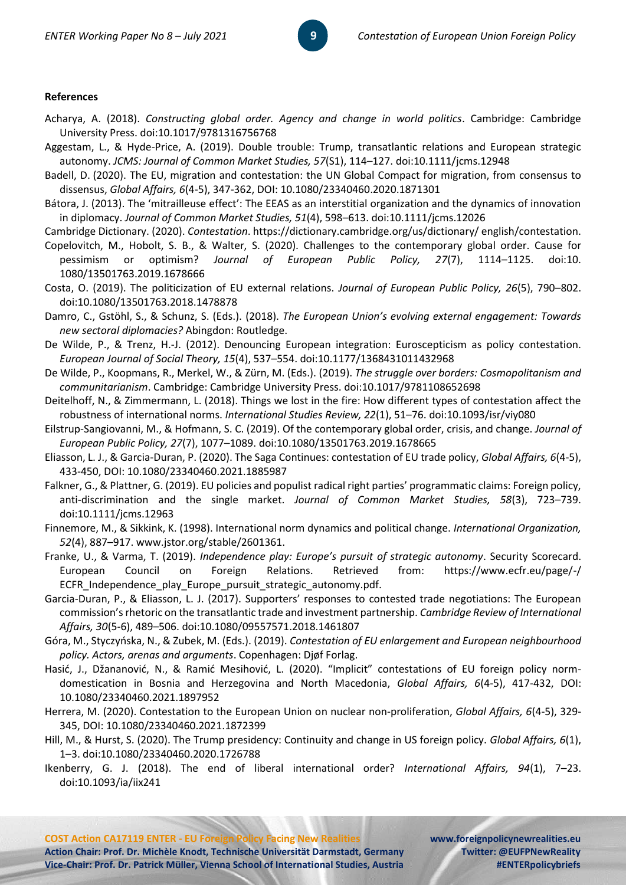## **References**

- Acharya, A. (2018). *Constructing global order. Agency and change in world politics*. Cambridge: Cambridge University Press. doi:10.1017/9781316756768
- Aggestam, L., & Hyde-Price, A. (2019). Double trouble: Trump, transatlantic relations and European strategic autonomy. *JCMS: Journal of Common Market Studies, 57*(S1), 114–127. doi:10.1111/jcms.12948
- Badell, D. (2020). The EU, migration and contestation: the UN Global Compact for migration, from consensus to dissensus, *Global Affairs, 6*(4-5), 347-362, DOI: 10.1080/23340460.2020.1871301
- Bátora, J. (2013). The 'mitrailleuse effect': The EEAS as an interstitial organization and the dynamics of innovation in diplomacy. *Journal of Common Market Studies, 51*(4), 598–613. doi:10.1111/jcms.12026

Cambridge Dictionary. (2020). *Contestation*. https://dictionary.cambridge.org/us/dictionary/ english/contestation.

- Copelovitch, M., Hobolt, S. B., & Walter, S. (2020). Challenges to the contemporary global order. Cause for pessimism or optimism? *Journal of European Public Policy, 27*(7), 1114–1125. doi:10. 1080/13501763.2019.1678666
- Costa, O. (2019). The politicization of EU external relations. *Journal of European Public Policy, 26*(5), 790–802. doi:10.1080/13501763.2018.1478878
- Damro, C., Gstöhl, S., & Schunz, S. (Eds.). (2018). *The European Union's evolving external engagement: Towards new sectoral diplomacies?* Abingdon: Routledge.
- De Wilde, P., & Trenz, H.-J. (2012). Denouncing European integration: Euroscepticism as policy contestation. *European Journal of Social Theory, 15*(4), 537–554. doi:10.1177/1368431011432968
- De Wilde, P., Koopmans, R., Merkel, W., & Zürn, M. (Eds.). (2019). *The struggle over borders: Cosmopolitanism and communitarianism*. Cambridge: Cambridge University Press. doi:10.1017/9781108652698
- Deitelhoff, N., & Zimmermann, L. (2018). Things we lost in the fire: How different types of contestation affect the robustness of international norms. *International Studies Review, 22*(1), 51–76. doi:10.1093/isr/viy080
- Eilstrup-Sangiovanni, M., & Hofmann, S. C. (2019). Of the contemporary global order, crisis, and change. *Journal of European Public Policy, 27*(7), 1077–1089. doi:10.1080/13501763.2019.1678665
- Eliasson, L. J., & Garcia-Duran, P. (2020). The Saga Continues: contestation of EU trade policy, *Global Affairs, 6*(4-5), 433-450, DOI: 10.1080/23340460.2021.1885987
- Falkner, G., & Plattner, G. (2019). EU policies and populist radical right parties' programmatic claims: Foreign policy, anti-discrimination and the single market. *Journal of Common Market Studies, 58*(3), 723–739. doi:10.1111/jcms.12963
- Finnemore, M., & Sikkink, K. (1998). International norm dynamics and political change. *International Organization, 52*(4), 887–917. www.jstor.org/stable/2601361.
- Franke, U., & Varma, T. (2019). *Independence play: Europe's pursuit of strategic autonomy*. Security Scorecard. European Council on Foreign Relations. Retrieved from: https://www.ecfr.eu/page/-/ ECFR\_Independence\_play\_Europe\_pursuit\_strategic\_autonomy.pdf.
- Garcia-Duran, P., & Eliasson, L. J. (2017). Supporters' responses to contested trade negotiations: The European commission's rhetoric on the transatlantic trade and investment partnership. *Cambridge Review of International Affairs, 30*(5-6), 489–506. doi:10.1080/09557571.2018.1461807
- Góra, M., Styczyńska, N., & Zubek, M. (Eds.). (2019). *Contestation of EU enlargement and European neighbourhood policy. Actors, arenas and arguments*. Copenhagen: Djøf Forlag.
- Hasić, J., Džananović, N., & Ramić Mesihović, L. (2020). "Implicit" contestations of EU foreign policy normdomestication in Bosnia and Herzegovina and North Macedonia, *Global Affairs, 6*(4-5), 417-432, DOI: 10.1080/23340460.2021.1897952
- Herrera, M. (2020). Contestation to the European Union on nuclear non-proliferation, *Global Affairs, 6*(4-5), 329- 345, DOI: 10.1080/23340460.2021.1872399
- Hill, M., & Hurst, S. (2020). The Trump presidency: Continuity and change in US foreign policy. *Global Affairs, 6*(1), 1–3. doi:10.1080/23340460.2020.1726788
- Ikenberry, G. J. (2018). The end of liberal international order? *International Affairs, 94*(1), 7–23. doi:10.1093/ia/iix241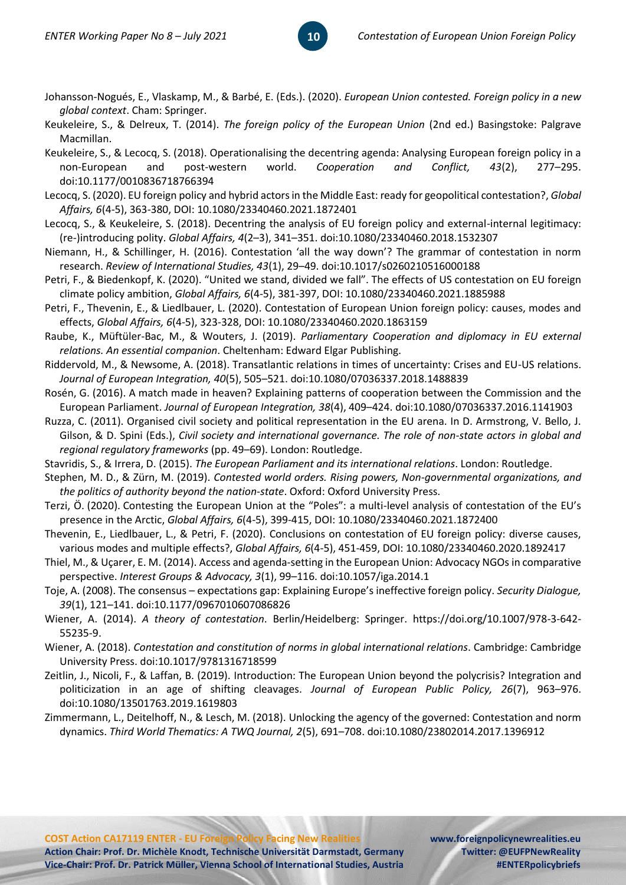Johansson-Nogués, E., Vlaskamp, M., & Barbé, E. (Eds.). (2020). *European Union contested. Foreign policy in a new global context*. Cham: Springer.

**10**

- Keukeleire, S., & Delreux, T. (2014). *The foreign policy of the European Union* (2nd ed.) Basingstoke: Palgrave Macmillan.
- Keukeleire, S., & Lecocq, S. (2018). Operationalising the decentring agenda: Analysing European foreign policy in a non-European and post-western world. *Cooperation and Conflict, 43*(2), 277–295. doi:10.1177/0010836718766394
- Lecocq, S. (2020). EU foreign policy and hybrid actors in the Middle East: ready for geopolitical contestation?, *Global Affairs, 6*(4-5), 363-380, DOI: 10.1080/23340460.2021.1872401
- Lecocq, S., & Keukeleire, S. (2018). Decentring the analysis of EU foreign policy and external-internal legitimacy: (re-)introducing polity. *Global Affairs, 4*(2–3), 341–351. doi:10.1080/23340460.2018.1532307
- Niemann, H., & Schillinger, H. (2016). Contestation 'all the way down'? The grammar of contestation in norm research. *Review of International Studies, 43*(1), 29–49. doi:10.1017/s0260210516000188
- Petri, F., & Biedenkopf, K. (2020). "United we stand, divided we fall". The effects of US contestation on EU foreign climate policy ambition, *Global Affairs, 6*(4-5), 381-397, DOI: 10.1080/23340460.2021.1885988
- Petri, F., Thevenin, E., & Liedlbauer, L. (2020). Contestation of European Union foreign policy: causes, modes and effects, *Global Affairs, 6*(4-5), 323-328, DOI: 10.1080/23340460.2020.1863159
- Raube, K., Müftüler-Bac, M., & Wouters, J. (2019). *Parliamentary Cooperation and diplomacy in EU external relations. An essential companion*. Cheltenham: Edward Elgar Publishing.
- Riddervold, M., & Newsome, A. (2018). Transatlantic relations in times of uncertainty: Crises and EU-US relations. *Journal of European Integration, 40*(5), 505–521. doi:10.1080/07036337.2018.1488839
- Rosén, G. (2016). A match made in heaven? Explaining patterns of cooperation between the Commission and the European Parliament. *Journal of European Integration, 38*(4), 409–424. doi:10.1080/07036337.2016.1141903
- Ruzza, C. (2011). Organised civil society and political representation in the EU arena. In D. Armstrong, V. Bello, J. Gilson, & D. Spini (Eds.), *Civil society and international governance. The role of non-state actors in global and regional regulatory frameworks* (pp. 49–69). London: Routledge.
- Stavridis, S., & Irrera, D. (2015). *The European Parliament and its international relations*. London: Routledge.
- Stephen, M. D., & Zürn, M. (2019). *Contested world orders. Rising powers, Non-governmental organizations, and the politics of authority beyond the nation-state*. Oxford: Oxford University Press.
- Terzi, Ö. (2020). Contesting the European Union at the "Poles": a multi-level analysis of contestation of the EU's presence in the Arctic, *Global Affairs, 6*(4-5), 399-415, DOI: 10.1080/23340460.2021.1872400
- Thevenin, E., Liedlbauer, L., & Petri, F. (2020). Conclusions on contestation of EU foreign policy: diverse causes, various modes and multiple effects?, *Global Affairs, 6*(4-5), 451-459, DOI: 10.1080/23340460.2020.1892417
- Thiel, M., & Uçarer, E. M. (2014). Access and agenda-setting in the European Union: Advocacy NGOs in comparative perspective. *Interest Groups & Advocacy, 3*(1), 99–116. doi:10.1057/iga.2014.1
- Toje, A. (2008). The consensus expectations gap: Explaining Europe's ineffective foreign policy. *Security Dialogue, 39*(1), 121–141. doi:10.1177/0967010607086826
- Wiener, A. (2014). *A theory of contestation*. Berlin/Heidelberg: Springer. https://doi.org/10.1007/978-3-642- 55235-9.
- Wiener, A. (2018). *Contestation and constitution of norms in global international relations*. Cambridge: Cambridge University Press. doi:10.1017/9781316718599
- Zeitlin, J., Nicoli, F., & Laffan, B. (2019). Introduction: The European Union beyond the polycrisis? Integration and politicization in an age of shifting cleavages. *Journal of European Public Policy, 26*(7), 963–976. doi:10.1080/13501763.2019.1619803
- Zimmermann, L., Deitelhoff, N., & Lesch, M. (2018). Unlocking the agency of the governed: Contestation and norm dynamics. *Third World Thematics: A TWQ Journal, 2*(5), 691–708. doi:10.1080/23802014.2017.1396912